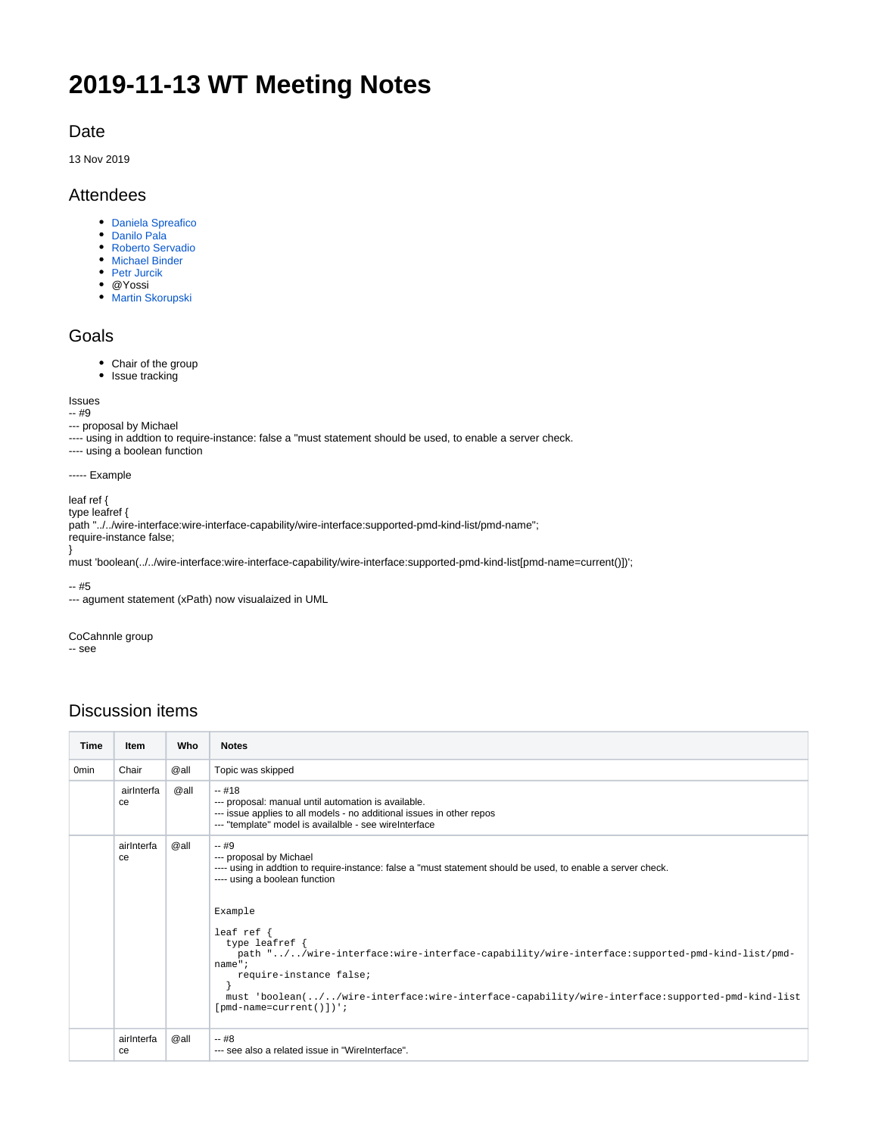# **2019-11-13 WT Meeting Notes**

# Date

13 Nov 2019

# Attendees

- [Daniela Spreafico](https://wiki.opennetworking.org/display/~Daniela+Spreafico)
- [Danilo Pala](https://wiki.opennetworking.org/display/~danilo.pala)
- [Roberto Servadio](https://wiki.opennetworking.org/display/~roberto.servadio)
- [Michael Binder](https://wiki.opennetworking.org/display/~michael.binder)
- [Petr Jurcik](https://wiki.opennetworking.org/display/~petr.jurcik)
- @Yossi
- **[Martin Skorupski](https://wiki.opennetworking.org/display/~demx8as6)**

## Goals

- Chair of the group
- Issue tracking

#### Issues

-- #9

- --- proposal by Michael
- ---- using in addtion to require-instance: false a "must statement should be used, to enable a server check.
- ---- using a boolean function

----- Example

## leaf ref {

type leafref { path "../../wire-interface:wire-interface-capability/wire-interface:supported-pmd-kind-list/pmd-name"; require-instance false;

} must 'boolean(../../wire-interface:wire-interface-capability/wire-interface:supported-pmd-kind-list[pmd-name=current()])';

-- #5

--- agument statement (xPath) now visualaized in UML

#### CoCahnnle group

-- see

# Discussion items

| <b>Time</b>      | <b>Item</b>      | Who  | <b>Notes</b>                                                                                                                                                                                                                                                                                                                                                                                                                                                                                              |
|------------------|------------------|------|-----------------------------------------------------------------------------------------------------------------------------------------------------------------------------------------------------------------------------------------------------------------------------------------------------------------------------------------------------------------------------------------------------------------------------------------------------------------------------------------------------------|
| 0 <sub>min</sub> | Chair            | @all | Topic was skipped                                                                                                                                                                                                                                                                                                                                                                                                                                                                                         |
|                  | airlnterfa<br>ce | @all | $-418$<br>--- proposal: manual until automation is available.<br>--- issue applies to all models - no additional issues in other repos<br>--- "template" model is availalble - see wireInterface                                                                                                                                                                                                                                                                                                          |
|                  | airInterfa<br>ce | @all | $-49$<br>--- proposal by Michael<br>---- using in addtion to require-instance: false a "must statement should be used, to enable a server check.<br>---- using a boolean function<br>Example<br>leaf ref $\{$<br>type leafref $\{$<br>path "//wire-interface:wire-interface-capability/wire-interface:supported-pmd-kind-list/pmd-<br>name";<br>require-instance false;<br>must 'boolean(//wire-interface:wire-interface-capability/wire-interface:supported-pmd-kind-list<br>$[pmd - name = current() ]$ |
|                  | airInterfa<br>ce | @all | $-48$<br>--- see also a related issue in "WireInterface".                                                                                                                                                                                                                                                                                                                                                                                                                                                 |